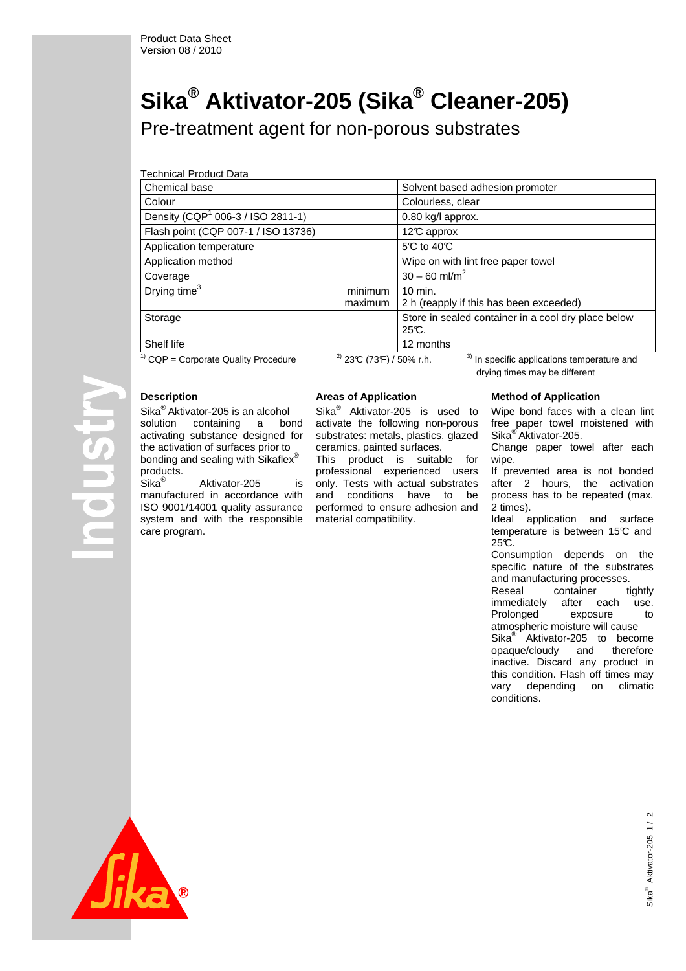# **Sika® Aktivator-205 (Sika® Cleaner-205)**

Pre-treatment agent for non-porous substrates

Technical Product Data

| Chemical base                                 |         | Solvent based adhesion promoter                                |  |  |
|-----------------------------------------------|---------|----------------------------------------------------------------|--|--|
| Colour                                        |         | Colourless, clear                                              |  |  |
| Density (CQP <sup>1</sup> 006-3 / ISO 2811-1) |         | 0.80 kg/l approx.                                              |  |  |
| Flash point (CQP 007-1 / ISO 13736)           |         | 12°C approx                                                    |  |  |
| Application temperature                       |         | 5℃ to 40℃                                                      |  |  |
| Application method                            |         | Wipe on with lint free paper towel                             |  |  |
| Coverage                                      |         | $30 - 60$ ml/m <sup>2</sup>                                    |  |  |
| Drying time <sup>3</sup>                      | minimum | $10$ min.                                                      |  |  |
|                                               | maximum | 2 h (reapply if this has been exceeded)                        |  |  |
| Storage                                       |         | Store in sealed container in a cool dry place below<br>$25C$ . |  |  |
| Shelf life                                    |         | 12 months                                                      |  |  |
| $21 - 22 - 12$<br>21<br>$11 - 2 - 1$          |         |                                                                |  |  |

# **Description**

**USILO** 

Sika® Aktivator-205 is an alcohol solution containing a bond activating substance designed for the activation of surfaces prior to bonding and sealing with Sikaflex $^\circ$ products.

Sika® Aktivator-205 is manufactured in accordance with ISO 9001/14001 quality assurance system and with the responsible care program.

# **Areas of Application**

Sika<sup>®</sup> Aktivator-205 is used to activate the following non-porous substrates: metals, plastics, glazed ceramics, painted surfaces.

This product is suitable for professional experienced users only. Tests with actual substrates and conditions have to be performed to ensure adhesion and material compatibility.

<sup>1)</sup> CQP = Corporate Quality Procedure <sup>2)</sup> 23°C (73°F) / 50% r.h. <sup>3)</sup> In specific applications temperature and drying times may be different

### **Method of Application**

Wipe bond faces with a clean lint free paper towel moistened with Sika<sup>®</sup> Aktivator-205.

Change paper towel after each wipe.

If prevented area is not bonded after 2 hours, the activation process has to be repeated (max. 2 times).

Ideal application and surface temperature is between 15°C and  $25C$ .

Consumption depends on the specific nature of the substrates and manufacturing processes. Reseal container tightly immediately after each use. Prolonged exposure to atmospheric moisture will cause Sika<sup>®</sup> Aktivator-205 to become opaque/cloudy and therefore inactive. Discard any product in this condition. Flash off times may vary depending on climatic conditions.